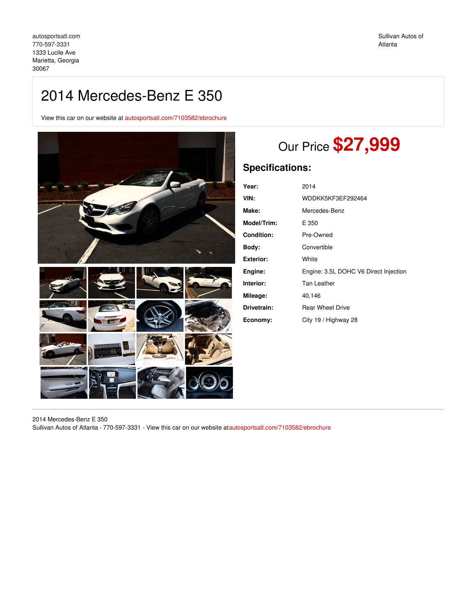# 2014 Mercedes-Benz E 350

View this car on our website at [autosportsatl.com/7103582/ebrochure](https://autosportsatl.com/vehicle/7103582/2014-mercedes-benz-e-350-marietta-georgia-30067/7103582/ebrochure)



# Our Price **\$27,999**

# **Specifications:**

| Year:            | 2014                                  |
|------------------|---------------------------------------|
| VIN:             | WDDKK5KF3EF292464                     |
| Make:            | Mercedes-Benz                         |
| Model/Trim:      | E 350                                 |
| Condition:       | Pre-Owned                             |
| Body:            | Convertible                           |
| <b>Exterior:</b> | White                                 |
| Engine:          | Engine: 3.5L DOHC V6 Direct Injection |
| Interior:        | Tan Leather                           |
| Mileage:         | 40.146                                |
| Drivetrain:      | <b>Rear Wheel Drive</b>               |
| Economy:         | City 19 / Highway 28                  |

2014 Mercedes-Benz E 350 Sullivan Autos of Atlanta - 770-597-3331 - View this car on our website a[tautosportsatl.com/7103582/ebrochure](https://autosportsatl.com/vehicle/7103582/2014-mercedes-benz-e-350-marietta-georgia-30067/7103582/ebrochure)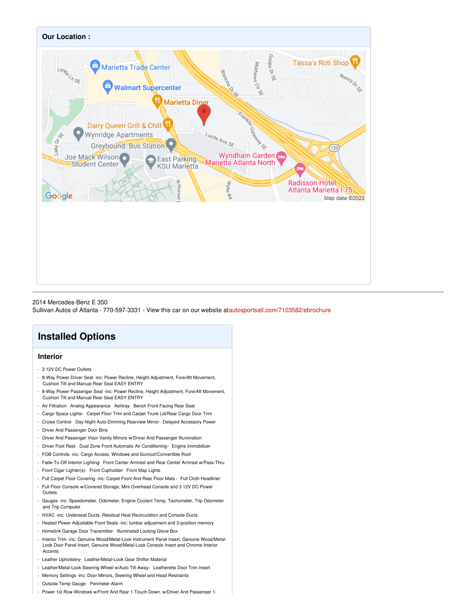

### 2014 Mercedes-Benz E 350

Sullivan Autos of Atlanta - 770-597-3331 - View this car on our website a[tautosportsatl.com/7103582/ebrochure](https://autosportsatl.com/vehicle/7103582/2014-mercedes-benz-e-350-marietta-georgia-30067/7103582/ebrochure)

# **Installed Options**

## **Interior**

- 3 12V DC Power Outlets
- 8-Way Power Driver Seat -inc: Power Recline, Height Adjustment, Fore/Aft Movement, Cushion Tilt and Manual Rear Seat EASY ENTRY
- 8-Way Power Passenger Seat -inc: Power Recline, Height Adjustment, Fore/Aft Movement, Cushion Tilt and Manual Rear Seat EASY ENTRY
- Air Filtration- Analog Appearance- Ashtray- Bench Front Facing Rear Seat
- Cargo Space Lights- Carpet Floor Trim and Carpet Trunk Lid/Rear Cargo Door Trim
- Cruise Control- Day-Night Auto-Dimming Rearview Mirror- Delayed Accessory Power - Driver And Passenger Door Bins
- Driver And Passenger Visor Vanity Mirrors w/Driver And Passenger Illumination
- Driver Foot Rest- Dual Zone Front Automatic Air Conditioning- Engine Immobilizer
- FOB Controls -inc: Cargo Access, Windows and Sunroof/Convertible Roof
- Fade-To-Off Interior Lighting- Front Center Armrest and Rear Center Armrest w/Pass-Thru
- Front Cigar Lighter(s)- Front Cupholder- Front Map Lights
- Full Carpet Floor Covering -inc: Carpet Front And Rear Floor Mats Full Cloth Headliner
- Full Floor Console w/Covered Storage, Mini Overhead Console and 3 12V DC Power **Outlets**
- Gauges -inc: Speedometer, Odometer, Engine Coolant Temp, Tachometer, Trip Odometer and Trip Computer
- HVAC -inc: Underseat Ducts, Residual Heat Recirculation and Console Ducts
- Heated Power Adjustable Front Seats -inc: lumbar adjustment and 3-position memory
- Homelink Garage Door Transmitter- Illuminated Locking Glove Box
- Interior Trim -inc: Genuine Wood/Metal-Look Instrument Panel Insert, Genuine Wood/Metal-Look Door Panel Insert, Genuine Wood/Metal-Look Console Insert and Chrome Interior **Accents**
- Leather Upholstery- Leather/Metal-Look Gear Shifter Material
- Leather/Metal-Look Steering Wheel w/Auto Tilt-Away- Leatherette Door Trim Insert
- Memory Settings -inc: Door Mirrors, Steering Wheel and Head Restraints
- Outside Temp Gauge- Perimeter Alarm
- Power 1st Row Windows w/Front And Rear 1-Touch Down, w/Driver And Passenger 1-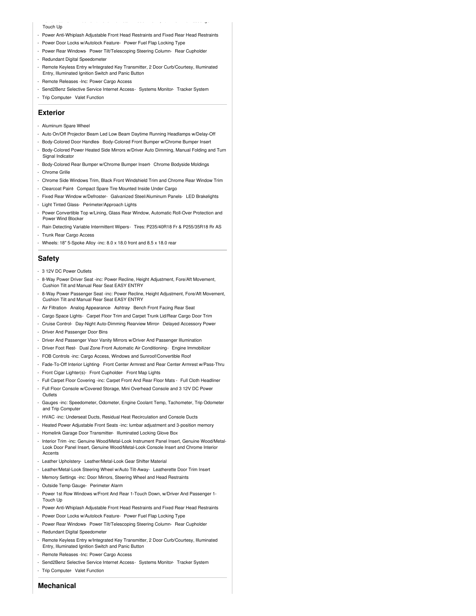#### Touch Up

- Power 1st Row Windows w/Front And Rear 1-Touch Down, w/Driver And Passenger 1-

- Power Anti-Whiplash Adjustable Front Head Restraints and Fixed Rear Head Restraints
- Power Door Locks w/Autolock Feature- Power Fuel Flap Locking Type
- Power Rear Windows- Power Tilt/Telescoping Steering Column- Rear Cupholder
- Redundant Digital Speedometer
- Remote Keyless Entry w/Integrated Key Transmitter, 2 Door Curb/Courtesy, Illuminated Entry, Illuminated Ignition Switch and Panic Button
- Remote Releases -Inc: Power Cargo Access
- Send2Benz Selective Service Internet Access- Systems Monitor- Tracker System
- Trip Computer- Valet Function

#### **Exterior**

- Aluminum Spare Wheel
- Auto On/Off Projector Beam Led Low Beam Daytime Running Headlamps w/Delay-Off
- Body-Colored Door Handles- Body-Colored Front Bumper w/Chrome Bumper Insert
- Body-Colored Power Heated Side Mirrors w/Driver Auto Dimming, Manual Folding and Turn Signal Indicator
- Body-Colored Rear Bumper w/Chrome Bumper Insert- Chrome Bodyside Moldings
- Chrome Grille
- Chrome Side Windows Trim, Black Front Windshield Trim and Chrome Rear Window Trim
- Clearcoat Paint- Compact Spare Tire Mounted Inside Under Cargo
- Fixed Rear Window w/Defroster- Galvanized Steel/Aluminum Panels- LED Brakelights
- Light Tinted Glass- Perimeter/Approach Lights
- Power Convertible Top w/Lining, Glass Rear Window, Automatic Roll-Over Protection and Power Wind Blocker
- Rain Detecting Variable Intermittent Wipers- Tires: P235/40R18 Fr & P255/35R18 Rr AS - Trunk Rear Cargo Access
- 
- Wheels: 18" 5-Spoke Alloy -inc: 8.0 x 18.0 front and 8.5 x 18.0 rear

### **Safety**

- 3 12V DC Power Outlets
- 8-Way Power Driver Seat -inc: Power Recline, Height Adjustment, Fore/Aft Movement, Cushion Tilt and Manual Rear Seat EASY ENTRY
- 8-Way Power Passenger Seat -inc: Power Recline, Height Adjustment, Fore/Aft Movement, Cushion Tilt and Manual Rear Seat EASY ENTRY
- Air Filtration- Analog Appearance- Ashtray- Bench Front Facing Rear Seat
- Cargo Space Lights- Carpet Floor Trim and Carpet Trunk Lid/Rear Cargo Door Trim
- Cruise Control- Day-Night Auto-Dimming Rearview Mirror- Delayed Accessory Power
- Driver And Passenger Door Bins
- Driver And Passenger Visor Vanity Mirrors w/Driver And Passenger Illumination
- Driver Foot Rest- Dual Zone Front Automatic Air Conditioning- Engine Immobilizer
- FOB Controls -inc: Cargo Access, Windows and Sunroof/Convertible Roof
- Fade-To-Off Interior Lighting- Front Center Armrest and Rear Center Armrest w/Pass-Thru
- Front Cigar Lighter(s)- Front Cupholder- Front Map Lights
- Full Carpet Floor Covering -inc: Carpet Front And Rear Floor Mats Full Cloth Headliner
- Full Floor Console w/Covered Storage, Mini Overhead Console and 3 12V DC Power Outlets
- Gauges -inc: Speedometer, Odometer, Engine Coolant Temp, Tachometer, Trip Odometer and Trip Computer
- HVAC -inc: Underseat Ducts, Residual Heat Recirculation and Console Ducts
- Heated Power Adjustable Front Seats -inc: lumbar adjustment and 3-position memory
- Homelink Garage Door Transmitter- Illuminated Locking Glove Box
- Interior Trim -inc: Genuine Wood/Metal-Look Instrument Panel Insert, Genuine Wood/Metal-Look Door Panel Insert, Genuine Wood/Metal-Look Console Insert and Chrome Interior **Accents**
- Leather Upholstery- Leather/Metal-Look Gear Shifter Material
- Leather/Metal-Look Steering Wheel w/Auto Tilt-Away- Leatherette Door Trim Insert
- Memory Settings -inc: Door Mirrors, Steering Wheel and Head Restraints
- Outside Temp Gauge- Perimeter Alarm
- Power 1st Row Windows w/Front And Rear 1-Touch Down, w/Driver And Passenger 1- Touch Up
- Power Anti-Whiplash Adjustable Front Head Restraints and Fixed Rear Head Restraints
- Power Door Locks w/Autolock Feature- Power Fuel Flap Locking Type
- Power Rear Windows- Power Tilt/Telescoping Steering Column- Rear Cupholder
- Redundant Digital Speedometer
- Remote Keyless Entry w/Integrated Key Transmitter, 2 Door Curb/Courtesy, Illuminated Entry, Illuminated Ignition Switch and Panic Button
- Remote Releases -Inc: Power Cargo Access
- Send2Benz Selective Service Internet Access- Systems Monitor- Tracker System
- Trip Computer- Valet Function

## **Mechanical**